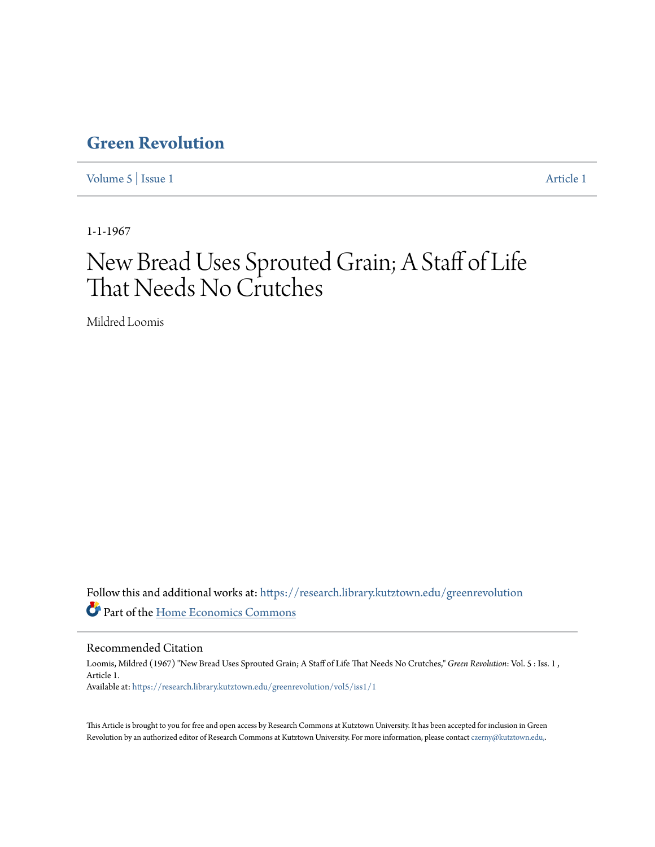## **[Green Revolution](https://research.library.kutztown.edu/greenrevolution?utm_source=research.library.kutztown.edu%2Fgreenrevolution%2Fvol5%2Fiss1%2F1&utm_medium=PDF&utm_campaign=PDFCoverPages)**

[Volume 5](https://research.library.kutztown.edu/greenrevolution/vol5?utm_source=research.library.kutztown.edu%2Fgreenrevolution%2Fvol5%2Fiss1%2F1&utm_medium=PDF&utm_campaign=PDFCoverPages) | [Issue 1](https://research.library.kutztown.edu/greenrevolution/vol5/iss1?utm_source=research.library.kutztown.edu%2Fgreenrevolution%2Fvol5%2Fiss1%2F1&utm_medium=PDF&utm_campaign=PDFCoverPages) [Article 1](https://research.library.kutztown.edu/greenrevolution/vol5/iss1/1?utm_source=research.library.kutztown.edu%2Fgreenrevolution%2Fvol5%2Fiss1%2F1&utm_medium=PDF&utm_campaign=PDFCoverPages)

1-1-1967

# New Bread Uses Sprouted Grain; A Staff of Life That Needs No Crutches

Mildred Loomis

Follow this and additional works at: [https://research.library.kutztown.edu/greenrevolution](https://research.library.kutztown.edu/greenrevolution?utm_source=research.library.kutztown.edu%2Fgreenrevolution%2Fvol5%2Fiss1%2F1&utm_medium=PDF&utm_campaign=PDFCoverPages) Part of the [Home Economics Commons](http://network.bepress.com/hgg/discipline/1055?utm_source=research.library.kutztown.edu%2Fgreenrevolution%2Fvol5%2Fiss1%2F1&utm_medium=PDF&utm_campaign=PDFCoverPages)

Recommended Citation

Loomis, Mildred (1967) "New Bread Uses Sprouted Grain; A Staff of Life That Needs No Crutches," *Green Revolution*: Vol. 5 : Iss. 1 , Article 1. Available at: [https://research.library.kutztown.edu/greenrevolution/vol5/iss1/1](https://research.library.kutztown.edu/greenrevolution/vol5/iss1/1?utm_source=research.library.kutztown.edu%2Fgreenrevolution%2Fvol5%2Fiss1%2F1&utm_medium=PDF&utm_campaign=PDFCoverPages)

This Article is brought to you for free and open access by Research Commons at Kutztown University. It has been accepted for inclusion in Green Revolution by an authorized editor of Research Commons at Kutztown University. For more information, please contact [czerny@kutztown.edu,](mailto:czerny@kutztown.edu,).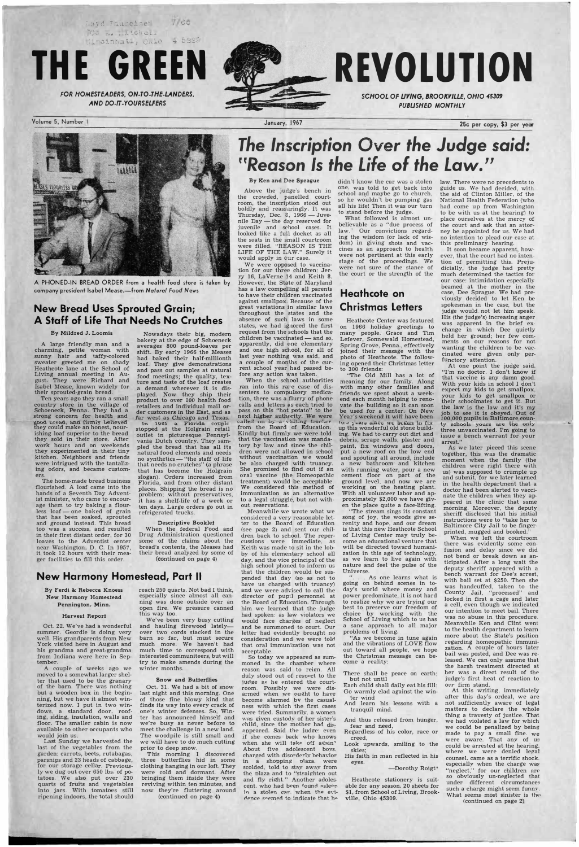; .:}\ t� T :�'.:l�":ei -:ie' c.., TOO THE ... LONGLA  $(4 \cdot 1)$ :  $\frac{1}{2}$ 



*FOR HOMESTEADERS, ON-TO-THE-LANDERS, AND DO-ff-YOURSELFERS* 

Volume 5, Number

A PHONED-IN BREAD ORDER from a health food store is taken by company president Isabel Mease.-from *Natural food News* 

## **New Bread Uses Sprouted Grain; A Staff of Life That Needs No Crutches**

## **By Mildred** J. **Loomis**

A large friendly man and a charming, petite woman with sunny hair and taffy-colored sweater greeted me on shady Heathcote lane at the School of Living annual meeting in August. They were Richard and Isabel Mease, known widely for their sprouted-grain bread.

Ten years ago they ran a small country store in the village of Schoeneck, Penna. They had a strong concern for health and good **t.read, and** firmiy believed they could make an honest, nourishing loaf superior to the bread they sold in their store. After work hours and on weekends they experimented in their tiny kitchen. Neighbors and friends were intrigued with the tantalizing odors, and became customers.

The home-made bread business flourished. A loaf came into the hands of a Seventh Day Adventist minister. who came to encourage them to try baking a flourless loaf - one baked of grain that has been soaked, sprouted and ground instead. This bread too was a success, and resulted in their first distant order, for 30 loaves to the Adventist center near Washington, D. C. In 1957, it took 12 hours with their meager facilities to fill this order.

Nowadays their big, modern bakery at the edge of Schoeneck averages 800 pound-loaves per shift. By early 1966 the Meases had baked their half-millionth loaf. They give demonstrations and pass out samples at natural food meetings; the quality, tex-ture and taste of the loaf creates a demand wherever it is displayed. Now they ship their product to over **100** health food retailers and individual mail order customers in *the* East, and as

# **The Inscription Over the Judge said:** *''Reason Is the Life* **of** *the Law.''*

far west as Chicago and Texas. 1.n **11)61 � Floridn** couple stopped at the Holgrain retail outlet in picturesque Pennsylvania Dutch country. They sampled the bread that has all its natural food elements and needs no synthetics—"the staff of life that needs no crutches" (a phrase that has become the Holgrain slogan). Orders increased from Florida, and from other distant places. Shipping the bread is no problem; without preservatives, it has a shelf-life of a week or ten days. Large orders go out in refrigerated trucks.

### **Descriptive Booklet**

When the federal Food and Drug Administration questioned some of the claims about the bread's contents, the Meases had their bread analyzed by some of (continued on page 4)

## **New Harmony Homestead, Part II**

**By Ferdi & Rebecca Knoess New Harmony Homestead Pennington, Minn.** 

### **Harvest Report**

Oct. 22. We've had a wonderful summer. Geordie is doing very well. His grandparents from New York visited here in August and his grandma and great-grandma from Indiana were here in September.

reach 250 quarts. Not bad I think, especially since almost all canning was done outside over an

open fire. We pressure canned this way too.

We've been very busy cutting and hauling firewood latelyover two cords stacked in the barn so far, but must secure much more. We haven't had much time to correspond with interested communiteers, but will try to make amends during the winter months.

### **Snow and Butterflies**

What followed is almost unbelievable as a "due process of law." Our convictions regarding the wisdom (or lack of wisdom) in giving shots and vaccines as an approach to health were not pertinent at this early stage of the proceedings. We were not sure of the· stance of the court or the strength of the

January, 1967



**25c per copy, \$3 per year** 



## **By Ken and Dee Sprague**

Above the judge's bench in the crowded, panelled courtroom, the inscription stood out boldly and reassuringly. It was Thursday, Dec.  $8, 1966$  — Juvenile Day — the day reserved for juvenile and school cases. It looked like a full docket as all the seats in the small courtroom were filled. "REASON IS THE LIFE OF THE LAW." Surely it would apply in our case.

didn't know the car was a stolen law. There were no precedents to one, was told to get back into school and maybe go to church, so he wouldn't be pumping gas all his life! Then it was our turn to stand before the judge.

.. As one learns what is going on behind scenes in today's world where money and power predominate, it is not hard to realize why we are trying our best to preserve our freedom of choice by working with the School of Living which to us has a sane approach to all major problems of living. "As we become in tune again and the vibrations of LOVE flow out toward all people, we hope the Christmas message can become a reality:

guide us. We had decided, with the aid of Clinton Miller, of the National Health Federation (who had come up from Washington to be with us at the hearing) to place ourselves at the mercy of the court and ask that an attorney be appointed for us. We had no intention to plead our case at this preliminary hearing.

We were opposed to vaccination for our three children: Jerry 16, Laverne **14** and Keith **8.**  However, the State of Maryland has a law compelling all parents to have their children vaccinated against smallpox. Because of the great variations in similar laws throughout the states and the absence of such laws in some states, we had ignored the first request from the schools that the  $children$  be vaccinated  $-$  and so, apparently, did one elementary and one high school, for all of last year nothing was said, and a couple of months of the current school year had passed before any action was taken.

When the school authorities ran into this rare case of dissenters to compulsory medication, there was a flurry of phone calls and letters as each tried to pass on this "hot potato" to the next *higher* authority. *We* were called on by a visiting teacher<br>from the Board of Education. Kindly but firmly we were told that the vaccination was mandatory by law and since the children were not allowed in school without vaccination we would be also charged with truancy. She promised to find out if an oral vaccine (the Homeopathic treatment) would be acceptable. We considered this method of immmlization as an alternative to a legal struggle, but not without reservations.

So today we appeared as summoned in the chamber where reason was said to reign. All duly stood out of resoect to the judge as he entered the courtroom. Possibly we were disarmed when we ought to have become alarmed bv the casualness with which the first cases were tried. Summarily. a women was given custody of her sister's child, since the mother had disappeared. Said the judge: even if she comes back who knows when she will take off again? About five adolescent boys. charged with disorderly behavior in a shopping olaza. were scolded. told to stay away from the plaza and to "straighten out and fly right." Another adolescent. who had been found asleen in a stolen car. when the evidence seemed to indicate that he

Meanwhile we wrote what we considered a very reasonable letter to the Board of Education (see page 2) and sent our children back to school. The repercussions were immediate, as Keith was made to sit in the lobby of his elementary school all day, and the vice principal of the high school phoned to inform us that the children would be suspended that day (so as not to have us charged with truancy) and we were advised to call the director of pupil personnel at the Board of Education. Through

him we learned that the judge had spoken: as law violators we would face charges of neglect and be summoned to court. Our letter had evidently brought no consideration and we were told that oral immunization was not acceptable.

> Go warmly clad against the winter wind

And thus released from hunger, fear and need,

Regardless of his color, race or creed,

## **Heathcote on Christmas Letters**

Heathcote Center was featured on 1966 holiday greetings to many people. Grace and Tim Lefever, Sonnewald Homestead, Spring Grove, Penna., effectively joined their message with the photo of Heathcote. The following opened their Christmas letter to 300 friends:

"The Old Mill has a lot of meaning for our family. Along with many other families and friends we spent about a weekend each month helping to renovate the building so it can soon be used for a center. On New Year's weekend *it* will have been (we  $j$  cars since we began to fix up this wonderful old stone building. We had to carry out dirt and debris, scrape walls, plaster and paint, fix windows and doors, put a new roof on the low end and spouting all around, include a new bathroom· and kitchen with running water, pour a new cement floor on part of the ground level, and now we are working on the heating plant. With all volunteer labor and approximately \$2,000 we have given the place quite a face-lifting.

"The stream sings its constant song of joy, the woods give serenity and hope, and our dream is that this new Heathcote School of Living Center may truly become an educational venture that will be directed toward humanization in this age of technology, as we learn to live again with nature and feel the pulse of the Universe.

There shall be peace on earth; but not until

It soon became apparent, however, that the court had no intention of permitting this. Prejudicially, the judge had pretty much determined the tactics for our case: intimidation especially beamed at the mother in the case, Dee Sprague. We had previously decided to let Ken be spokesman in the case, but the judge would. not let him speak. His (the judge's) increasing anger was apparent in the brief exchange in which Dee quietly held her ground; her few comments on our reasons for not wanting the children to be vaccinated were given only perfunctory attention.

At one point the judge said. "I'm no doctor. I don't know if that vaccine is any damn good. With your kids in school I don't expect my kids to get smallpox, your kids to get smallpox or their schoolmates to get it. But the law is the law and it's my job to see **it** is obeyed. Out of **100,00()** pupils in Baltimore county schools yours are the only three unvaccinated. I'm going to issue a bench warrant for your arrest."

 $\ldots$  .  $\blacksquare$   $\blacksquare$   $\blacksquare$   $\blacksquare$   $\blacksquare$   $\blacksquare$   $\blacksquare$   $\blacksquare$   $\blacksquare$   $\blacksquare$   $\blacksquare$   $\blacksquare$   $\blacksquare$   $\blacksquare$   $\blacksquare$   $\blacksquare$   $\blacksquare$   $\blacksquare$   $\blacksquare$   $\blacksquare$   $\blacksquare$   $\blacksquare$   $\blacksquare$   $\blacksquare$   $\blacksquare$   $\blacksquare$   $\blacksquare$   $\blacksquare$   $\blacksquare$   $\blacksquare$   $\bl$ 

As we later pieced this scene together, this was the dramatic moment when the family (the children were right there with us) was supposed to crumple up and submit, for we later learned in the health department that a doctor had been alerted to vaccinate the children when they appeared in the clinic that same morning. Moreover, the deputy sheriff disclosed that his initial instructions were to "take her to Baltimore City Jail to be fingerprinted, mugged and booked."

moved to a somewhat larger shelter that used to be the granary of the barn. There was nothing but a wooden box in the beginning, but we have it almost winterized now. I put in two windows, a standard door, roofing, siding, insulation, walls and floor. The smaller cabin is now available to other occupants who would join us.

Last Sunday we harvested the last of the vegetables from the garden: carrots, beets, rutabagas, parsnips and 23 heads of cabbage, for our storage cellar. Previously we dug out over 650 lbs. of potatoes. We also put over 230 quarts of fruits and vegetables into jars. With tomatoes still ripening indoors, the total should

Oct. 31. We had a bit of snow last night and this morning. One of those fine blowy kind that finds its way into every crack of one's winter defenses. So, Winter has announced himself and we're busy as never before to meet the challenge in a new land. The woodpile is still small and we will have to do much cutting prior to deep snow.

When we left the courtroom there was evidently some confusion and delay since we did not bend or break down as anticipated. After a long wait the deputy sheriff appeared with a bench warrant for Dee's arrest, with bail set at \$250. Then she was handcuffed, taken to the County Jail, "processed" and locked in first a cage and later a cell, even though we indicated our intention to meet bail. There was no abuse in this procedure. Meanwhile Ken and Clint went to the health department to learn more about the State's position regarding homeopathic immunization. A couple of hours later bail was posted, and Dee was released. We can only assume that the harsh treatment directed at the harsh treatment directed at the harsh treatment directed at the harsh treatment directed at the harsh treatment directed at the harsh treatment directed at the harsh treatment of the har her was a direct result of the judge's first heat of reaction to Each child shall daily eat his fill; our firm stand.<br>Go warmly clad against the win-<br>At this writing, immediately after this day's ordeal, we are not sufficiently aware of legal matters to declare the whole thing a travesty of justice. That we had violated a law for which we could be penalized by being race or made to pay a small fine. we were aware. That any of us could be arrested at the hearing. where we were denied legal This morning I discovered charged with disorderly behavior. His faith in man reflected in his where we were defined legal<br>three butterflies hid in some in a shopping plaza were ... ,, especially when the charge was -Dorothy Roigt" "neglect," for our children are so obviously un-neglected that under different circumstances such a charge might seem funny. What seems most sinister is the (continued on page 2))

And learn his lessons tranquil mind.

Look upwards, smiling to the skies;

clothing hanging in our loft. They were cold and dormant. After bringing them inside they were reviving within ten minutes, and now they're fluttering around

(continued on page 4)

His faith in man reflected in his eyes.

Heathcote stationery is suitable for any season. 20 sheets for \$1, from School of Living, Brookville, Ohio 45309.